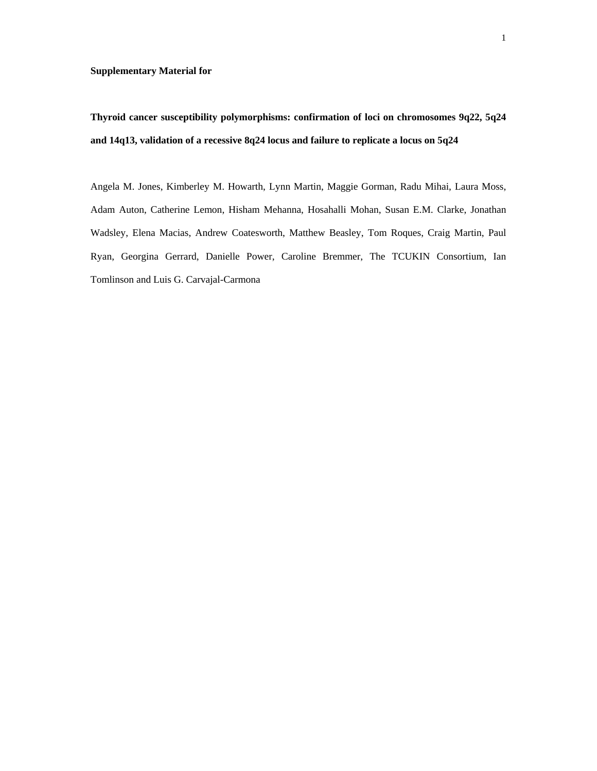Angela M. Jones, Kimberley M. Howarth, Lynn Martin, Maggie Gorman, Radu Mihai, Laura Moss, Adam Auton, Catherine Lemon, Hisham Mehanna, Hosahalli Mohan, Susan E.M. Clarke, Jonathan Wadsley, Elena Macias, Andrew Coatesworth, Matthew Beasley, Tom Roques, Craig Martin, Paul Ryan, Georgina Gerrard, Danielle Power, Caroline Bremmer, The TCUKIN Consortium, Ian Tomlinson and Luis G. Carvajal-Carmona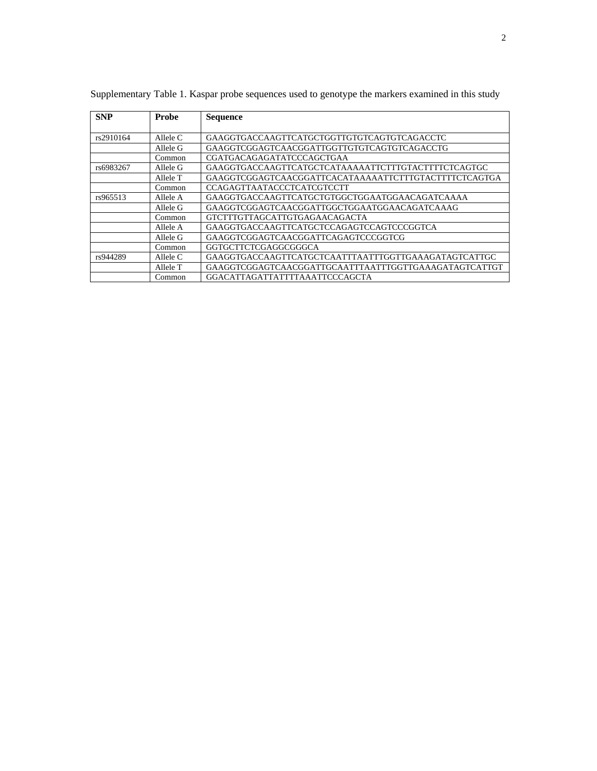| <b>SNP</b> | <b>Probe</b> | <b>Sequence</b>                                       |
|------------|--------------|-------------------------------------------------------|
| rs2910164  | Allele C     | GAAGGTGACCAAGTTCATGCTGGTTGTGTCAGTGTCAGACCTC           |
|            | Allele G     | GAAGGTCGGAGTCAACGGATTGGTTGTGTCAGTGTCAGACCTG           |
|            | Common       | CGATGACAGAGATATCCCAGCTGAA                             |
| rs6983267  | Allele G     | GAAGGTGACCAAGTTCATGCTCATAAAAATTCTTTGTACTTTTCTCAGTGC   |
|            | Allele T     | GAAGGTCGGAGTCAACGGATTCACATAAAAATTCTTTGTACTTTTCTCAGTGA |
|            | Common       | <b>CCAGAGTTAATACCCTCATCGTCCTT</b>                     |
| rs965513   | Allele A     | GAAGGTGACCAAGTTCATGCTGTGGCTGGAATGGAACAGATCAAAA        |
|            | Allele G     | GAAGGTCGGAGTCAACGGATTGGCTGGAATGGAACAGATCAAAG          |
|            | Common       | GTCTTTGTTAGCATTGTGAGAACAGACTA                         |
|            | Allele A     | GAAGGTGACCAAGTTCATGCTCCAGAGTCCAGTCCCGGTCA             |
|            | Allele G     | GAAGGTCGGAGTCAACGGATTCAGAGTCCCGGTCG                   |
|            | Common       | GGTGCTTCTCGAGGCGGGCA                                  |
| rs944289   | Allele C     | GAAGGTGACCAAGTTCATGCTCAATTTAATTTGGTTGAAAGATAGTCATTGC  |
|            | Allele T     | GAAGGTCGGAGTCAACGGATTGCAATTTAATTTGGTTGAAAGATAGTCATTGT |
|            | Common       | GGACATTAGATTATTTTAAATTCCCAGCTA                        |

Supplementary Table 1. Kaspar probe sequences used to genotype the markers examined in this study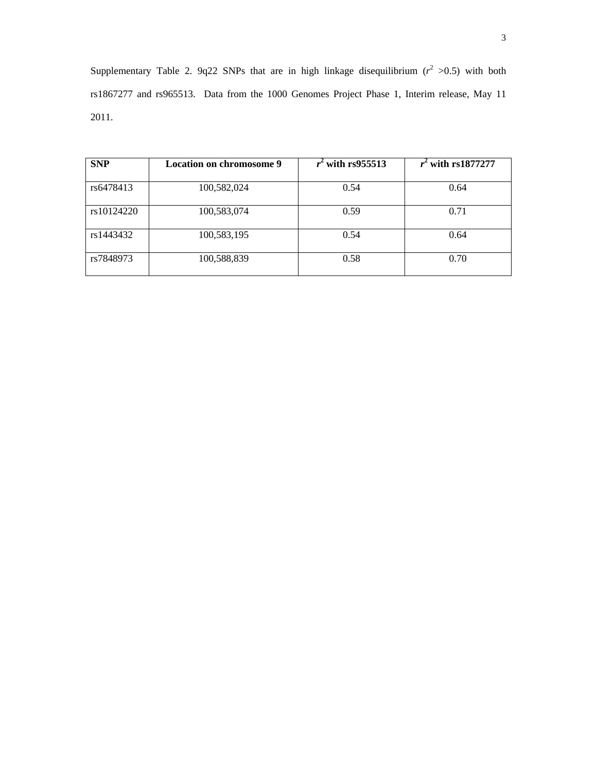Supplementary Table 2. 9q22 SNPs that are in high linkage disequilibrium  $(r^2 > 0.5)$  with both rs1867277 and rs965513. Data from the 1000 Genomes Project Phase 1, Interim release, May 11 2011.

| <b>SNP</b> | Location on chromosome 9 | $r^2$ with rs955513 | $r^2$ with rs1877277 |
|------------|--------------------------|---------------------|----------------------|
| rs6478413  | 100,582,024              | 0.54                | 0.64                 |
| rs10124220 | 100,583,074              | 0.59                | 0.71                 |
| rs1443432  | 100,583,195              | 0.54                | 0.64                 |
| rs7848973  | 100,588,839              | 0.58                | 0.70                 |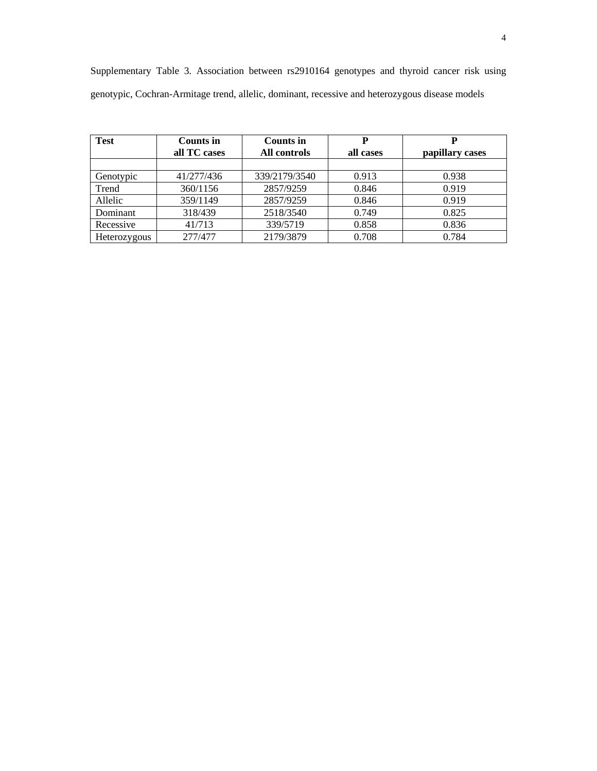| <b>Test</b>  | Counts in    | Counts in     | P         |                 |
|--------------|--------------|---------------|-----------|-----------------|
|              | all TC cases | All controls  | all cases | papillary cases |
|              |              |               |           |                 |
| Genotypic    | 41/277/436   | 339/2179/3540 | 0.913     | 0.938           |
| Trend        | 360/1156     | 2857/9259     | 0.846     | 0.919           |
| Allelic      | 359/1149     | 2857/9259     | 0.846     | 0.919           |
| Dominant     | 318/439      | 2518/3540     | 0.749     | 0.825           |
| Recessive    | 41/713       | 339/5719      | 0.858     | 0.836           |
| Heterozygous | 277/477      | 2179/3879     | 0.708     | 0.784           |

Supplementary Table 3. Association between rs2910164 genotypes and thyroid cancer risk using genotypic, Cochran-Armitage trend, allelic, dominant, recessive and heterozygous disease models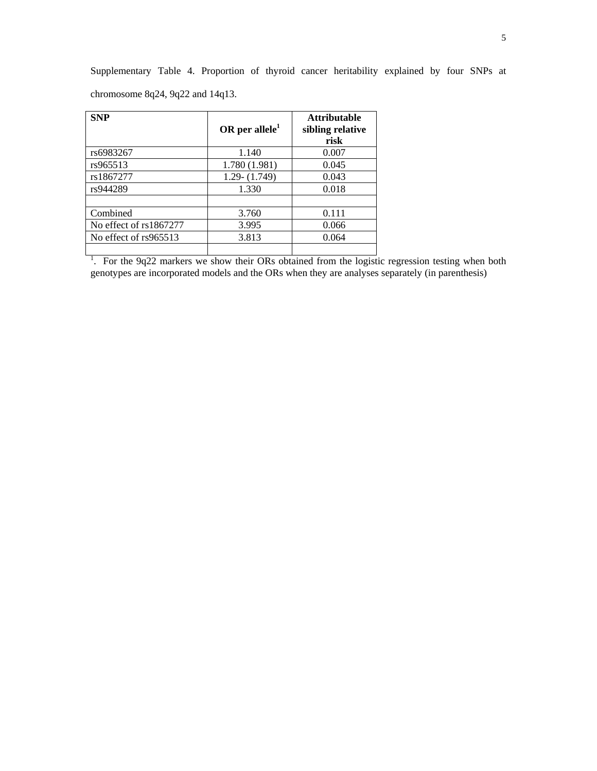Supplementary Table 4. Proportion of thyroid cancer heritability explained by four SNPs at chromosome 8q24, 9q22 and 14q13.

| <b>SNP</b>               | OR per allele $1$ | <b>Attributable</b><br>sibling relative<br>risk |
|--------------------------|-------------------|-------------------------------------------------|
| rs6983267                | 1.140             | 0.007                                           |
| rs965513                 | 1.780 (1.981)     | 0.045                                           |
| rs1867277                | $1.29 - (1.749)$  | 0.043                                           |
| rs944289                 | 1.330             | 0.018                                           |
| Combined                 | 3.760             | 0.111                                           |
| No effect of $rs1867277$ | 3.995             | 0.066                                           |
| No effect of rs965513    | 3.813             | 0.064                                           |

 $\frac{1}{1}$ . For the 9q22 markers we show their ORs obtained from the logistic regression testing when both genotypes are incorporated models and the ORs when they are analyses separately (in parenthesis)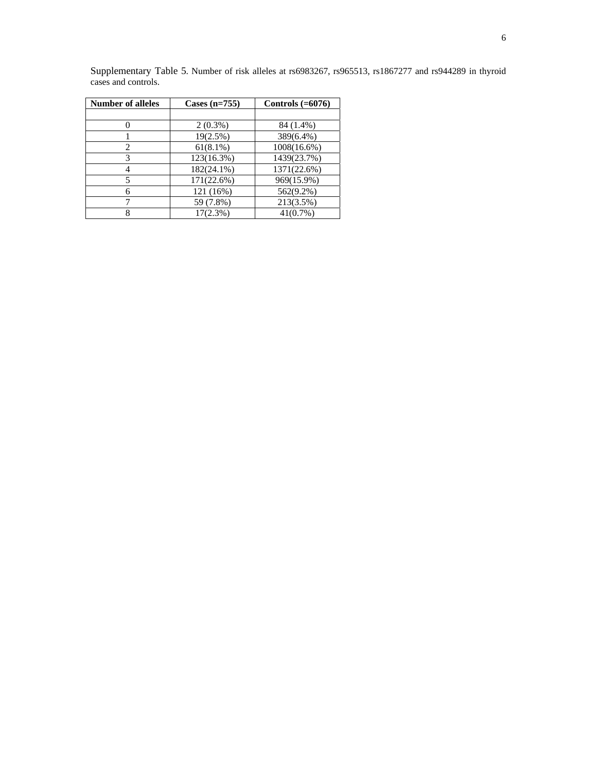| <b>Number of alleles</b> | Cases $(n=755)$ | Controls $(=6076)$ |
|--------------------------|-----------------|--------------------|
|                          |                 |                    |
|                          | $2(0.3\%)$      | 84 (1.4%)          |
|                          | $19(2.5\%)$     | 389(6.4%)          |
| 2                        | $61(8.1\%)$     | 1008(16.6%)        |
| 3                        | 123(16.3%)      | 1439(23.7%)        |
| 4                        | $182(24.1\%)$   | 1371(22.6%)        |
| 5                        | 171(22.6%)      | 969(15.9%)         |
| 6                        | 121 (16%)       | $562(9.2\%)$       |
|                          | 59 (7.8%)       | 213(3.5%)          |
| 8                        | $17(2.3\%)$     | 41(0.7%)           |

Supplementary Table 5. Number of risk alleles at rs6983267, rs965513, rs1867277 and rs944289 in thyroid cases and controls.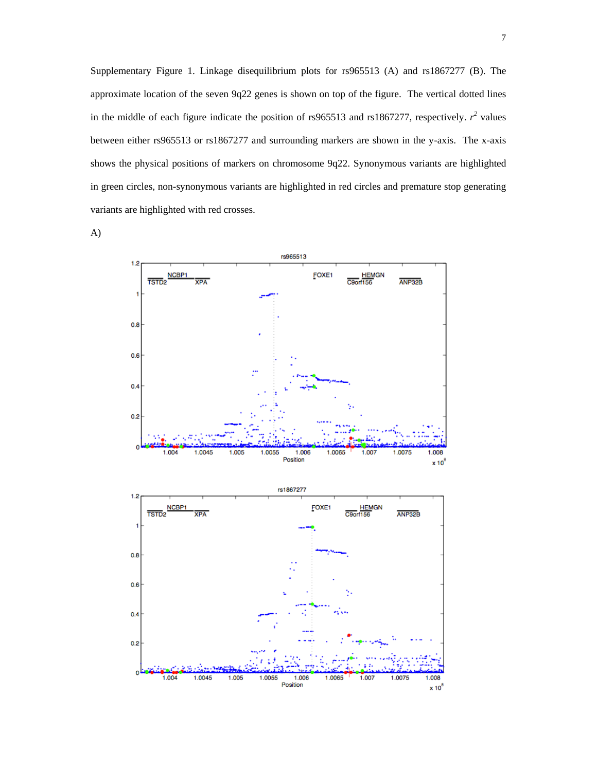Supplementary Figure 1. Linkage disequilibrium plots for rs965513 (A) and rs1867277 (B). The approximate location of the seven 9q22 genes is shown on top of the figure. The vertical dotted lines in the middle of each figure indicate the position of rs965513 and rs1867277, respectively.  $r^2$  values between either rs965513 or rs1867277 and surrounding markers are shown in the y-axis. The x-axis shows the physical positions of markers on chromosome 9q22. Synonymous variants are highlighted in green circles, non-synonymous variants are highlighted in red circles and premature stop generating variants are highlighted with red crosses.

A)